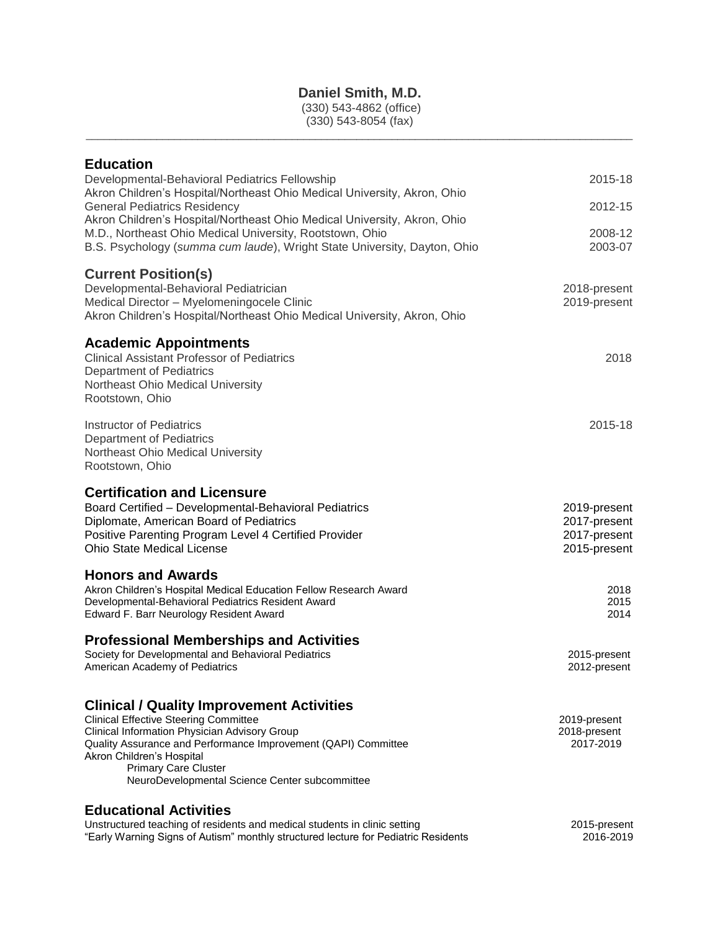# **Daniel Smith, M.D.**

(330) 543-4862 (office) (330) 543-8054 (fax)

\_\_\_\_\_\_\_\_\_\_\_\_\_\_\_\_\_\_\_\_\_\_\_\_\_\_\_\_\_\_\_\_\_\_\_\_\_\_\_\_\_\_\_\_\_\_\_\_\_\_\_\_\_\_\_\_\_\_\_\_\_\_\_\_\_\_\_\_\_\_\_\_\_\_\_\_\_\_\_\_\_\_\_\_\_\_\_\_\_\_\_\_\_

| <b>Education</b>                                                                                                |              |
|-----------------------------------------------------------------------------------------------------------------|--------------|
| Developmental-Behavioral Pediatrics Fellowship                                                                  | 2015-18      |
| Akron Children's Hospital/Northeast Ohio Medical University, Akron, Ohio<br><b>General Pediatrics Residency</b> | 2012-15      |
| Akron Children's Hospital/Northeast Ohio Medical University, Akron, Ohio                                        |              |
| M.D., Northeast Ohio Medical University, Rootstown, Ohio                                                        | 2008-12      |
| B.S. Psychology (summa cum laude), Wright State University, Dayton, Ohio                                        | 2003-07      |
| <b>Current Position(s)</b>                                                                                      |              |
| Developmental-Behavioral Pediatrician                                                                           | 2018-present |
| Medical Director - Myelomeningocele Clinic                                                                      | 2019-present |
| Akron Children's Hospital/Northeast Ohio Medical University, Akron, Ohio                                        |              |
| <b>Academic Appointments</b>                                                                                    |              |
| <b>Clinical Assistant Professor of Pediatrics</b>                                                               | 2018         |
| <b>Department of Pediatrics</b>                                                                                 |              |
| Northeast Ohio Medical University                                                                               |              |
| Rootstown, Ohio                                                                                                 |              |
| <b>Instructor of Pediatrics</b>                                                                                 | 2015-18      |
| <b>Department of Pediatrics</b>                                                                                 |              |
| Northeast Ohio Medical University                                                                               |              |
| Rootstown, Ohio                                                                                                 |              |
| <b>Certification and Licensure</b>                                                                              |              |
| Board Certified - Developmental-Behavioral Pediatrics                                                           | 2019-present |
| Diplomate, American Board of Pediatrics                                                                         | 2017-present |
| Positive Parenting Program Level 4 Certified Provider                                                           | 2017-present |
| <b>Ohio State Medical License</b>                                                                               | 2015-present |
| <b>Honors and Awards</b>                                                                                        |              |
| Akron Children's Hospital Medical Education Fellow Research Award                                               | 2018         |
| Developmental-Behavioral Pediatrics Resident Award<br>Edward F. Barr Neurology Resident Award                   | 2015<br>2014 |
|                                                                                                                 |              |
| <b>Professional Memberships and Activities</b>                                                                  |              |
| Society for Developmental and Behavioral Pediatrics                                                             | 2015-present |
| American Academy of Pediatrics                                                                                  | 2012-present |
|                                                                                                                 |              |
| <b>Clinical / Quality Improvement Activities</b><br><b>Clinical Effective Steering Committee</b>                | 2019-present |
| Clinical Information Physician Advisory Group                                                                   | 2018-present |
| Quality Assurance and Performance Improvement (QAPI) Committee                                                  | 2017-2019    |
| Akron Children's Hospital                                                                                       |              |
| <b>Primary Care Cluster</b><br>NeuroDevelopmental Science Center subcommittee                                   |              |
| <b>Educational Activities</b>                                                                                   |              |
| Unstructured teaching of residents and medical students in clinic setting                                       | 2015-present |
| "Early Warning Signs of Autism" monthly structured lecture for Pediatric Residents                              | 2016-2019    |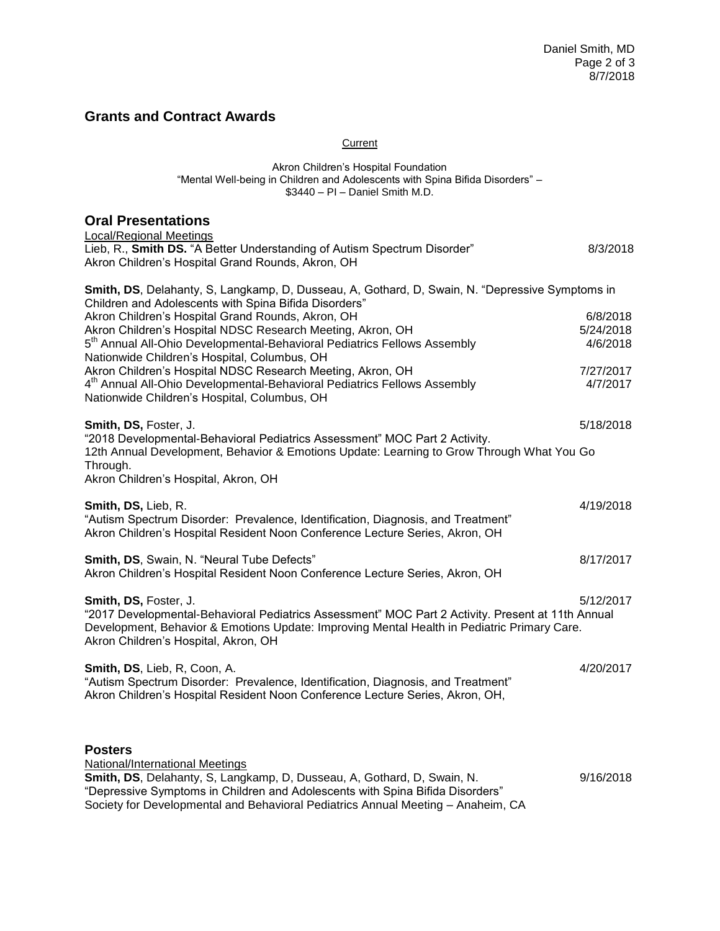## **Grants and Contract Awards**

### **Current**

#### Akron Children's Hospital Foundation "Mental Well-being in Children and Adolescents with Spina Bifida Disorders" – \$3440 – PI – Daniel Smith M.D.

## **Oral Presentations**

| <b>Local/Regional Meetings</b>                                                                                                                                                                                                                                    |           |
|-------------------------------------------------------------------------------------------------------------------------------------------------------------------------------------------------------------------------------------------------------------------|-----------|
| Lieb, R., Smith DS. "A Better Understanding of Autism Spectrum Disorder"<br>Akron Children's Hospital Grand Rounds, Akron, OH                                                                                                                                     | 8/3/2018  |
| Smith, DS, Delahanty, S, Langkamp, D, Dusseau, A, Gothard, D, Swain, N. "Depressive Symptoms in<br>Children and Adolescents with Spina Bifida Disorders"                                                                                                          |           |
| Akron Children's Hospital Grand Rounds, Akron, OH                                                                                                                                                                                                                 | 6/8/2018  |
| Akron Children's Hospital NDSC Research Meeting, Akron, OH                                                                                                                                                                                                        | 5/24/2018 |
| 5 <sup>th</sup> Annual All-Ohio Developmental-Behavioral Pediatrics Fellows Assembly<br>Nationwide Children's Hospital, Columbus, OH                                                                                                                              | 4/6/2018  |
| Akron Children's Hospital NDSC Research Meeting, Akron, OH                                                                                                                                                                                                        | 7/27/2017 |
| 4 <sup>th</sup> Annual All-Ohio Developmental-Behavioral Pediatrics Fellows Assembly<br>Nationwide Children's Hospital, Columbus, OH                                                                                                                              | 4/7/2017  |
| Smith, DS, Foster, J.                                                                                                                                                                                                                                             | 5/18/2018 |
| "2018 Developmental-Behavioral Pediatrics Assessment" MOC Part 2 Activity.<br>12th Annual Development, Behavior & Emotions Update: Learning to Grow Through What You Go<br>Through.<br>Akron Children's Hospital, Akron, OH                                       |           |
|                                                                                                                                                                                                                                                                   |           |
| Smith, DS, Lieb, R.<br>"Autism Spectrum Disorder: Prevalence, Identification, Diagnosis, and Treatment"<br>Akron Children's Hospital Resident Noon Conference Lecture Series, Akron, OH                                                                           | 4/19/2018 |
| Smith, DS, Swain, N. "Neural Tube Defects"<br>Akron Children's Hospital Resident Noon Conference Lecture Series, Akron, OH                                                                                                                                        | 8/17/2017 |
| Smith, DS, Foster, J.<br>"2017 Developmental-Behavioral Pediatrics Assessment" MOC Part 2 Activity. Present at 11th Annual<br>Development, Behavior & Emotions Update: Improving Mental Health in Pediatric Primary Care.<br>Akron Children's Hospital, Akron, OH | 5/12/2017 |
| Smith, DS, Lieb, R, Coon, A.<br>"Autism Spectrum Disorder: Prevalence, Identification, Diagnosis, and Treatment"<br>Akron Children's Hospital Resident Noon Conference Lecture Series, Akron, OH,                                                                 | 4/20/2017 |
| <b>Posters</b><br>National/International Meetings<br>Smith, DS, Delahanty, S, Langkamp, D, Dusseau, A, Gothard, D, Swain, N.                                                                                                                                      | 9/16/2018 |
| "Depressive Symptoms in Children and Adolescents with Spina Bifida Disorders"                                                                                                                                                                                     |           |

Society for Developmental and Behavioral Pediatrics Annual Meeting – Anaheim, CA